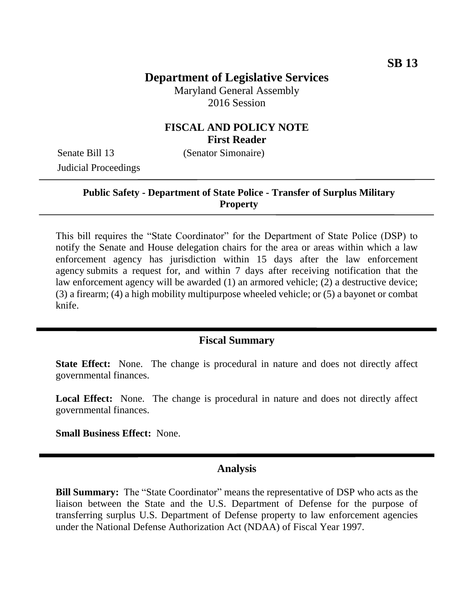## **Department of Legislative Services**

Maryland General Assembly 2016 Session

### **FISCAL AND POLICY NOTE First Reader**

Senate Bill 13 (Senator Simonaire) Judicial Proceedings

#### **Public Safety - Department of State Police - Transfer of Surplus Military Property**

This bill requires the "State Coordinator" for the Department of State Police (DSP) to notify the Senate and House delegation chairs for the area or areas within which a law enforcement agency has jurisdiction within 15 days after the law enforcement agency submits a request for, and within 7 days after receiving notification that the law enforcement agency will be awarded (1) an armored vehicle; (2) a destructive device; (3) a firearm; (4) a high mobility multipurpose wheeled vehicle; or (5) a bayonet or combat knife.

### **Fiscal Summary**

**State Effect:** None. The change is procedural in nature and does not directly affect governmental finances.

Local Effect: None. The change is procedural in nature and does not directly affect governmental finances.

**Small Business Effect:** None.

#### **Analysis**

**Bill Summary:** The "State Coordinator" means the representative of DSP who acts as the liaison between the State and the U.S. Department of Defense for the purpose of transferring surplus U.S. Department of Defense property to law enforcement agencies under the National Defense Authorization Act (NDAA) of Fiscal Year 1997.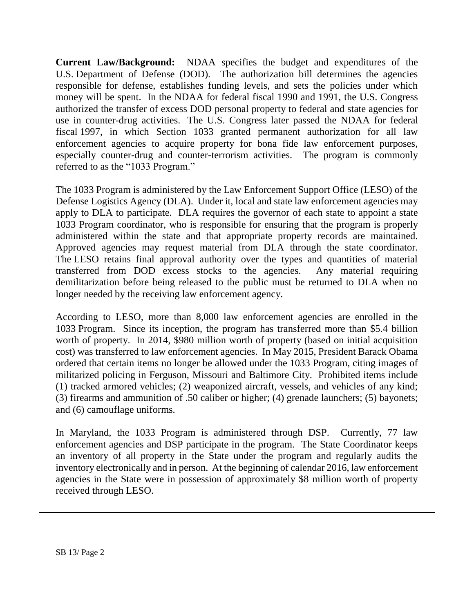**Current Law/Background:** NDAA specifies the budget and expenditures of the U.S. [Department of Defense](https://en.wikipedia.org/wiki/United_States_Department_of_Defense) (DOD). The [authorization bill](https://en.wikipedia.org/wiki/Authorization_bill) determines the agencies responsible for defense, establishes funding levels, and sets the policies under which money will be spent. In the NDAA for federal fiscal 1990 and 1991, the U.S. Congress authorized the transfer of excess DOD personal property to federal and state agencies for use in counter-drug activities. The U.S. Congress later passed the NDAA for federal fiscal 1997, in which Section 1033 granted permanent authorization for all law enforcement agencies to acquire property for bona fide law enforcement purposes, especially counter-drug and counter-terrorism activities. The program is commonly referred to as the "1033 Program."

The 1033 Program is administered by the Law Enforcement Support Office (LESO) of the Defense Logistics Agency (DLA). Under it, local and state law enforcement agencies may apply to DLA to participate. DLA requires the governor of each state to appoint a state 1033 Program coordinator, who is responsible for ensuring that the program is properly administered within the state and that appropriate property records are maintained. Approved agencies may request material from DLA through the state coordinator. The LESO retains final approval authority over the types and quantities of material transferred from DOD excess stocks to the agencies. Any material requiring demilitarization before being released to the public must be returned to DLA when no longer needed by the receiving law enforcement agency.

According to LESO, more than 8,000 law enforcement agencies are enrolled in the 1033 Program. Since its inception, the program has transferred more than \$5.4 billion worth of property. In 2014, \$980 million worth of property (based on initial acquisition cost) was transferred to law enforcement agencies. In May 2015, President Barack Obama ordered that certain items no longer be allowed under the 1033 Program, citing images of militarized policing in Ferguson, Missouri and Baltimore City. Prohibited items include (1) tracked armored vehicles; (2) weaponized aircraft, vessels, and vehicles of any kind; (3) firearms and ammunition of .50 caliber or higher; (4) grenade launchers; (5) bayonets; and (6) camouflage uniforms.

In Maryland, the 1033 Program is administered through DSP. Currently, 77 law enforcement agencies and DSP participate in the program. The State Coordinator keeps an inventory of all property in the State under the program and regularly audits the inventory electronically and in person. At the beginning of calendar 2016, law enforcement agencies in the State were in possession of approximately \$8 million worth of property received through LESO.